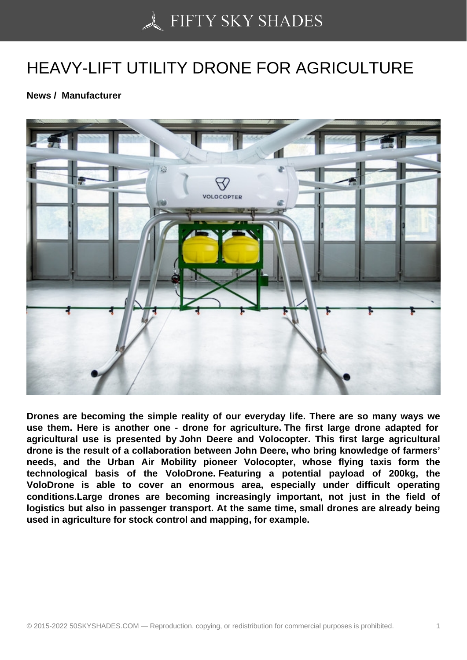## [HEAVY-LIFT UTILITY](https://50skyshades.com) DRONE FOR AGRICULTURE

News / Manufacturer

Drones are becoming the simple reality of our everyday life. There are so many ways we use them. Here is another one - drone for agriculture. The first large drone adapted for agricultural use is presented by John Deere and Volocopter. This first large agricultural drone is the result of a collaboration between John Deere, who bring knowledge of farmers' needs, and the Urban Air Mobility pioneer Volocopter, whose flying taxis form the technological basis of the VoloDrone. Featuring a potential payload of 200kg, the VoloDrone is able to cover an enormous area, especially under difficult operating conditions.Large drones are becoming increasingly important, not just in the field of logistics but also in passenger transport. At the same time, small drones are already being used in agriculture for stock control and mapping, for example.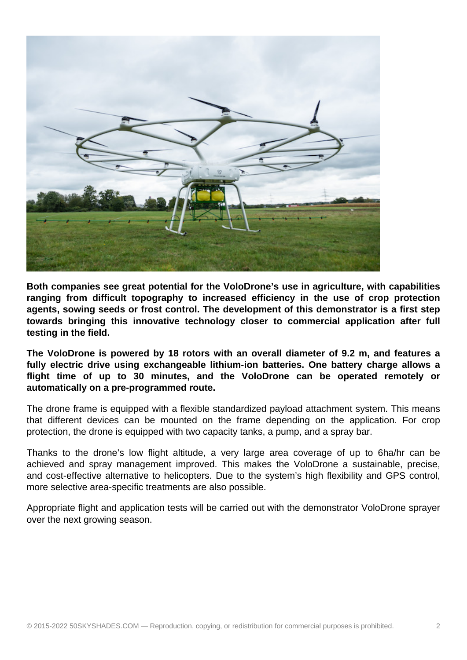

**Both companies see great potential for the VoloDrone's use in agriculture, with capabilities ranging from difficult topography to increased efficiency in the use of crop protection agents, sowing seeds or frost control. The development of this demonstrator is a first step towards bringing this innovative technology closer to commercial application after full testing in the field.**

**The VoloDrone is powered by 18 rotors with an overall diameter of 9.2 m, and features a fully electric drive using exchangeable lithium-ion batteries. One battery charge allows a flight time of up to 30 minutes, and the VoloDrone can be operated remotely or automatically on a pre-programmed route.**

The drone frame is equipped with a flexible standardized payload attachment system. This means that different devices can be mounted on the frame depending on the application. For crop protection, the drone is equipped with two capacity tanks, a pump, and a spray bar.

Thanks to the drone's low flight altitude, a very large area coverage of up to 6ha/hr can be achieved and spray management improved. This makes the VoloDrone a sustainable, precise, and cost-effective alternative to helicopters. Due to the system's high flexibility and GPS control, more selective area-specific treatments are also possible.

Appropriate flight and application tests will be carried out with the demonstrator VoloDrone sprayer over the next growing season.